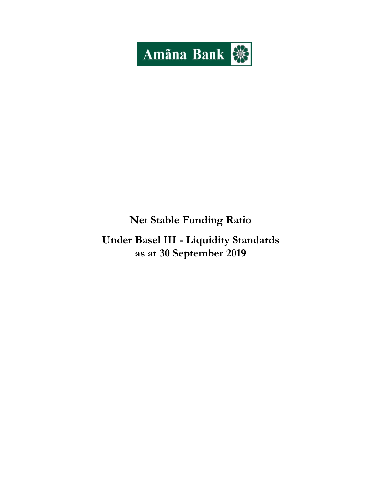

# Net Stable Funding Ratio

Under Basel III - Liquidity Standards as at 30 September 2019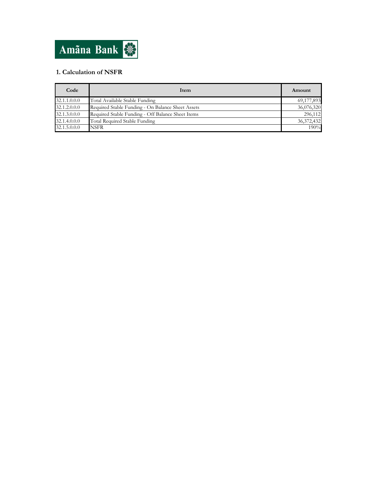

# 1. Calculation of NSFR

| Code         | Item                                              | Amount       |
|--------------|---------------------------------------------------|--------------|
| 32.1.1.0.0.0 | Total Available Stable Funding                    | 69,177,893   |
| 32.1.2.0.0.0 | Required Stable Funding - On Balance Sheet Assets | 36,076,320   |
| 32.1.3.0.0.0 | Required Stable Funding - Off Balance Sheet Items | 296,112      |
| 32.1.4.0.0.0 | Total Required Stable Funding                     | 36, 372, 432 |
| 32.1.5.0.0.0 | <b>NSFR</b>                                       | 190%         |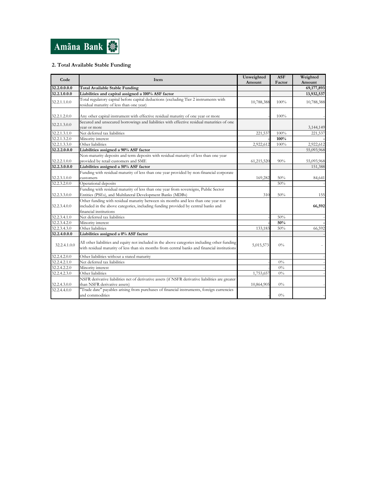

## 2. Total Available Stable Funding

| Code         | Item                                                                                                                                                                                              | Unweighted<br>Amount | <b>ASF</b><br>Factor | Weighted<br>Amount |
|--------------|---------------------------------------------------------------------------------------------------------------------------------------------------------------------------------------------------|----------------------|----------------------|--------------------|
| 32.2.0.0.0.0 | <b>Total Available Stable Funding</b>                                                                                                                                                             |                      |                      | 69,177,893         |
| 32.2.1.0.0.0 | Liabilities and capital assigned a 100% ASF factor                                                                                                                                                |                      |                      | 13,932,537         |
| 32.2.1.1.0.0 | Total regulatory capital before capital deductions (excluding Tier 2 instruments with<br>residual maturity of less than one year)                                                                 | 10,788,388           | 100%                 | 10,788,388         |
| 32.2.1.2.0.0 | Any other capital instrument with effective residual maturity of one year or more                                                                                                                 |                      | 100%                 |                    |
| 32.2.1.3.0.0 | Secured and unsecured borrowings and liabilities with effective residual maturities of one<br>vear or more                                                                                        |                      |                      | 3,144,149          |
| 32.2.1.3.1.0 | Net deferred tax liabilities                                                                                                                                                                      | 221,537              | 100%                 | 221,537            |
| 32.2.1.3.2.0 | Minority interest                                                                                                                                                                                 |                      | 100%                 |                    |
| 32.2.1.3.3.0 | Other liabilities                                                                                                                                                                                 | 2,922,612            | 100%                 | 2,922,612          |
| 32.2.2.0.0.0 | Liabilities assigned a 90% ASF factor                                                                                                                                                             |                      |                      | 55,093,968         |
| 32.2.2.1.0.0 | Non-maturity deposits and term deposits with residual maturity of less than one year<br>provided by retail customers and SME                                                                      | 61,215,520           | 90%                  | 55,093,968         |
| 32.2.3.0.0.0 | Liabilities assigned a 50% ASF factor                                                                                                                                                             |                      |                      | 151,388            |
| 32.2.3.1.0.0 | Funding with residual maturity of less than one year provided by non-financial corporate<br>customers                                                                                             | 169,282              | 50%                  | 84,641             |
| 32.2.3.2.0.0 | Operational deposits                                                                                                                                                                              |                      | 50%                  |                    |
| 32.2.3.3.0.0 | Funding with residual maturity of less than one year from sovereigns, Public Sector<br>Entities (PSEs), and Multilateral Development Banks (MDBs)                                                 | 310                  | 50%                  | 155                |
| 32.2.3.4.0.0 | Other funding with residual maturity between six months and less than one year not<br>included in the above categories, including funding provided by central banks and<br>financial institutions |                      |                      | 66,592             |
| 32.2.3.4.1.0 | Net deferred tax liabilities                                                                                                                                                                      |                      | 50%                  |                    |
| 32.2.3.4.2.0 | Minority interest                                                                                                                                                                                 |                      | 50%                  |                    |
| 32.2.3.4.3.0 | Other liabilities                                                                                                                                                                                 | 133,183              | 50%                  | 66,592             |
| 32.2.4.0.0.0 | Liabilities assigned a 0% ASF factor                                                                                                                                                              |                      |                      |                    |
| 32.2.4.1.0.0 | All other liabilities and equity not included in the above categories including other funding<br>with residual maturity of less than six months from central banks and financial institutions     | 5,015,573            | $0\%$                |                    |
| 32.2.4.2.0.0 | Other liabilities without a stated maturity                                                                                                                                                       |                      |                      |                    |
| 32.2.4.2.1.0 | Net deferred tax liabilities                                                                                                                                                                      |                      | $0\%$                |                    |
| 32.2.4.2.2.0 | Minority interest                                                                                                                                                                                 |                      | $0\%$                |                    |
| 32.2.4.2.3.0 | Other liabilities                                                                                                                                                                                 | 1,753,657            | $0\%$                |                    |
| 32.2.4.3.0.0 | NSFR derivative liabilities net of derivative assets (if NSFR derivative liabilities are greater<br>than NSFR derivative assets)                                                                  | 10,864,905           | $0\%$                |                    |
| 32.2.4.4.0.0 | "Trade date" payables arising from purchases of financial instruments, foreign currencies<br>and commodities                                                                                      |                      | $0\%$                |                    |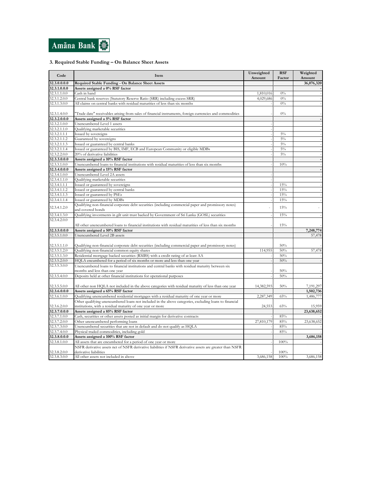

### 3. Required Stable Funding – On Balance Sheet Assets

| Code         | Item                                                                                                      | Unweighted<br>Amount | <b>RSF</b><br>Factor | Weighted<br>Amount |
|--------------|-----------------------------------------------------------------------------------------------------------|----------------------|----------------------|--------------------|
| 32.3.0.0.0.0 | Required Stable Funding - On Balance Sheet Assets                                                         |                      |                      | 36,076,320         |
| 32.3.1.0.0.0 | Assets assigned a 0% RSF factor                                                                           |                      |                      |                    |
| 32.3.1.1.0.0 | Cash in hand                                                                                              | 1,810,016            | 0%                   |                    |
| 32.3.1.2.0.0 | Central bank reserves (Statutory Reserve Ratio (SRR) including excess SRR)                                | 4,029,686            | $0\%$                |                    |
| 32.3.1.3.0.0 | All claims on central banks with residual maturities of less than six months                              |                      | $0\%$                |                    |
|              |                                                                                                           |                      |                      |                    |
| 32.3.1.4.0.0 | Trade date" receivables arising from sales of financial instruments, foreign currencies and commodities   |                      | $0\%$                |                    |
| 32.3.2.0.0.0 | Assets assigned a 5% RSF factor                                                                           |                      |                      |                    |
| 32.3.2.1.0.0 | Unencumbered Level 1 assets                                                                               |                      |                      |                    |
| 32.3.2.1.1.0 | Qualifying marketable securities                                                                          |                      |                      |                    |
| 32.3.2.1.1.1 | Issued by sovereigns                                                                                      |                      | $5\%$                |                    |
| 32.3.2.1.1.2 | Guaranteed by sovereigns                                                                                  |                      | $5\%$                |                    |
| 32.3.2.1.1.3 | Issued or guaranteed by central banks                                                                     |                      | $5\%$                |                    |
| 32.3.2.1.1.4 | Issued or guaranteed by BIS, IMF, ECB and European Community or eligible MDBs                             |                      | $5\%$                |                    |
| 32.3.2.2.0.0 | 20% of derivative liabilities                                                                             |                      | $5\%$                |                    |
| 32.3.3.0.0.0 | Assets assigned a 10% RSF factor                                                                          |                      |                      |                    |
| 32.3.3.1.0.0 | Unencumbered loans to financial institutions with residual maturities of less than six months             |                      | 10%                  |                    |
| 32.3.4.0.0.0 | Assets assigned a 15% RSF factor                                                                          |                      |                      |                    |
| 32.3.4.1.0.0 | Unencumbered Level 2A assets                                                                              |                      |                      |                    |
| 32.3.4.1.1.0 | Qualifying marketable securities                                                                          |                      |                      |                    |
| 32.3.4.1.1.1 | Issued or guaranteed by sovereigns                                                                        |                      | 15%                  |                    |
| 32.3.4.1.1.2 | Issued or guaranteed by central banks                                                                     |                      | 15%                  |                    |
| 32.3.4.1.1.3 | Issued or guaranteed by PSEs                                                                              |                      | 15%                  |                    |
| 32.3.4.1.1.4 | Issued or guaranteed by MDBs                                                                              |                      | 15%                  |                    |
|              | Qualifying non-financial corporate debt securities (including commercial paper and promissory notes)      |                      |                      |                    |
| 32.3.4.1.2.0 | and covered bonds                                                                                         |                      | 15%                  |                    |
| 32.3.4.1.3.0 | Qualifying investments in gilt unit trust backed by Government of Sri Lanka (GOSL) securities             |                      | 15%                  |                    |
| 32.3.4.2.0.0 | All other unencumbered loans to financial institutions with residual maturities of less than six months   |                      | 15%                  |                    |
| 32.3.5.0.0.0 | Assets assigned a 50% RSF factor                                                                          |                      |                      | 7,248,774          |
| 32.3.5.1.0.0 | Unencumbered Level 2B assets                                                                              |                      |                      | 57,478             |
|              |                                                                                                           |                      |                      |                    |
| 32.3.5.1.1.0 | Qualifying non-financial corporate debt securities (including commercial paper and promissory notes)      |                      | 50%                  |                    |
| 32.3.5.1.2.0 | Qualifying non-financial common equity shares                                                             | 114,955              | 50%                  | 57,478             |
| 32.3.5.1.3.0 | Residential mortgage backed securities (RMBS) with a credit rating of at least AA                         |                      | 50%                  |                    |
| 32.3.5.2.0.0 | HQLA encumbered for a period of six months or more and less than one year                                 |                      | 50%                  |                    |
| 32.3.5.3.0.0 | Unencumbered loans to financial institutions and central banks with residual maturity between six         |                      |                      |                    |
|              | months and less than one year                                                                             |                      | 50%                  |                    |
| 32.3.5.4.0.0 | Deposits held at other financial institutions for operational purposes                                    |                      | 50%                  |                    |
|              |                                                                                                           |                      |                      |                    |
| 32.3.5.5.0.0 | All other non HQLA not included in the above categories with residual maturity of less than one year      | 14,382,593           | 50%                  | 7,191,297          |
| 32.3.6.0.0.0 | Assets assigned a 65% RSF factor                                                                          |                      |                      | 1,502,736          |
| 32.3.6.1.0.0 | Qualifying unencumbered residential mortgages with a residual maturity of one year or more                | 2,287,349            | 65%                  | 1,486,777          |
|              | Other qualifying unencumbered loans not included in the above categories, excluding loans to financial    |                      |                      |                    |
| 32.3.6.2.0.0 | institutions, with a residual maturity of one year or more                                                | 24,553               | 65%                  | 15,959             |
| 32.3.7.0.0.0 | Assets assigned a 85% RSF factor                                                                          |                      |                      | 23,638,652         |
| 32.3.7.1.0.0 | Cash, securities or other assets posted as initial margin for derivative contracts                        |                      | 85%                  |                    |
| 32.3.7.2.0.0 | Other unencumbered performing loans                                                                       | 27,810,179           | 85%                  | 23,638,652         |
| 32.3.7.3.0.0 | Unencumbered securities that are not in default and do not qualify as HQLA                                |                      | 85%                  |                    |
| 32.3.7.4.0.0 | Physical traded commodities, including gold                                                               |                      | 85%                  |                    |
| 32.3.8.0.0.0 | Assets assigned a 100% RSF factor                                                                         |                      |                      | 3,686,158          |
| 32.3.8.1.0.0 | All assets that are encumbered for a period of one year or more                                           |                      | 100%                 |                    |
|              | NSFR derivative assets net of NSFR derivative liabilities if NSFR derivative assets are greater than NSFR |                      |                      |                    |
| 32.3.8.2.0.0 | derivative liabilities                                                                                    |                      | 100%                 |                    |
| 32.3.8.3.0.0 | All other assets not included in above                                                                    | 3,686,158            | 100%                 | 3,686,158          |